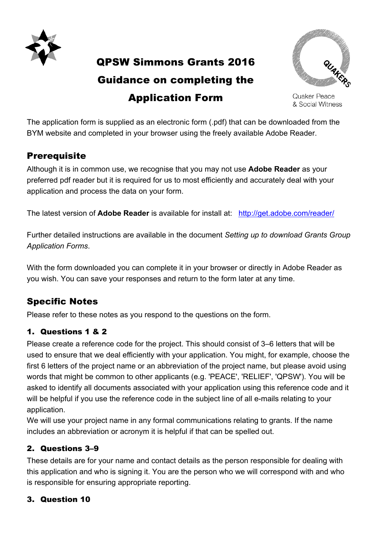

QPSW Simmons Grants 2016

# Guidance on completing the Application Form



Quaker Peace & Social Witness

The application form is supplied as an electronic form (.pdf) that can be downloaded from the application form to capplica as an electronic form (spar) that can be downloaded in<br>BYM website and completed in your browser using the freely available Adobe Reader. Electronic completion and submission is preferred. This PDF (.pdf) version is preferred and *Application Form QPSW Relief Grant*

## **Prerequisite that is available.** The alternative Word (.doc) version that is available.

Although it is in common use, we recognise that you may not use Adobe Reader as your preferred pdf reader but it is required for us to most efficiently and accurately deal with your application and process the data on your form. you can complete the alternative Word (.doc) version that is available.

The latest version of **Adobe Reader** is available for install at: http://get.adobe.com/reader/

Further detailed instructions are available in the document *Setting up to download Grants Group Application Forms*. *responsible for ensuring appropriate reporting) person responsble for dealing with this application. (The person we will write to and*  ther detailed instructions are available in the *If the Quaker link is a group or Meeting, please give the name and contact details of the person responsble for dealing with this application. (The person we will write to and* 

With the form downloaded you can complete it in your browser or directly in Adobe Reader as you wish. You can save your responses and return to the form later at any time.

## Specific Notes

Please refer to these notes as you respond to the questions on the form. Postcode

### 1. Questions 1 & 2

Please create a reference code for the project. This should consist of 3–6 letters that will be used to ensure that we deal efficiently with your application. You might, for example, choose the first 6 letters of the project name or an abbreviation of the project name, but please avoid using words that might be common to other applicants (e.g. 'PEACE', 'RELIEF', 'QPSW'). You will be asked to identify all documents associated with your application using this reference code and it will be helpful if you use the reference code in the subject line of all e-mails relating to your application.  $\frac{1}{2}$ e rieipit

We will use your project name in any formal communications relating to grants. If the name includes an abbreviation or acronym it is helpful if that can be spelled out.

### 2. Questions 3–9

These details are for your name and contact details as the person responsible for dealing with this application and who is signing it. You are the person who we will correspond with and who is responsible for ensuring appropriate reporting.

#### 3. Question 10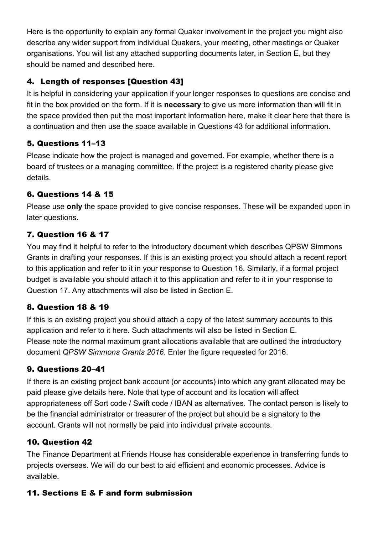Here is the opportunity to explain any formal Quaker involvement in the project you might also describe any wider support from individual Quakers, your meeting, other meetings or Quaker organisations. You will list any attached supporting documents later, in Section E, but they should be named and described here.

### 4. Length of responses [Question 43]

It is helpful in considering your application if your longer responses to questions are concise and fit in the box provided on the form. If it is **necessary** to give us more information than will fit in the space provided then put the most important information here, make it clear here that there is a continuation and then use the space available in Questions 43 for additional information.

### 5. Questions 11–13

Please indicate how the project is managed and governed. For example, whether there is a board of trustees or a managing committee. If the project is a registered charity please give details.

### 6. Questions 14 & 15

Please use **only** the space provided to give concise responses. These will be expanded upon in later questions.

### 7. Question 16 & 17

You may find it helpful to refer to the introductory document which describes QPSW Simmons Grants in drafting your responses. If this is an existing project you should attach a recent report to this application and refer to it in your response to Question 16. Similarly, if a formal project budget is available you should attach it to this application and refer to it in your response to Question 17. Any attachments will also be listed in Section E.

### 8. Question 18 & 19

If this is an existing project you should attach a copy of the latest summary accounts to this application and refer to it here. Such attachments will also be listed in Section E. Please note the normal maximum grant allocations available that are outlined the introductory document *QPSW Simmons Grants 2016*. Enter the figure requested for 2016.

### 9. Questions 20–41

If there is an existing project bank account (or accounts) into which any grant allocated may be paid please give details here. Note that type of account and its location will affect appropriateness off Sort code / Swift code / IBAN as alternatives. The contact person is likely to be the financial administrator or treasurer of the project but should be a signatory to the account. Grants will not normally be paid into individual private accounts.

### 10. Question 42

The Finance Department at Friends House has considerable experience in transferring funds to projects overseas. We will do our best to aid efficient and economic processes. Advice is available.

### 11. Sections E & F and form submission